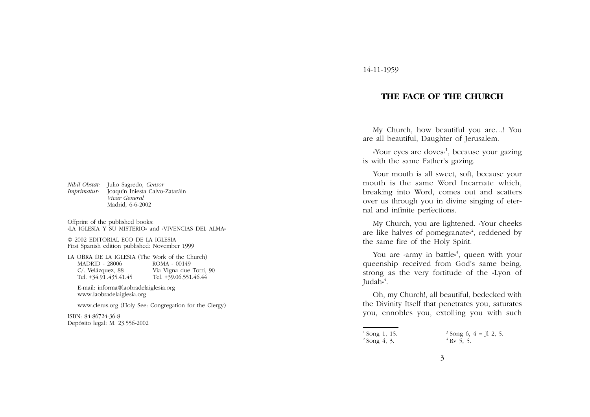*Nihil Obstat:* Julio Sagredo, *Censor Imprimatur:* Joaquín Iniesta Calvo-Zataráin *Vicar General* Madrid, 6-6-2002

Offprint of the published books: «LA IGLESIA Y SU MISTERIO» and «VIVENCIAS DEL ALMA»

© 2002 EDITORIAL ECO DE LA IGLESIA First Spanish edition published: November 1999

LA OBRA DE LA IGLESIA (The Work of the Church) MADRID - 28006 ROMA - 00149 C/. Velázquez, 88 Via Vigna due Torri, 90 Tel. +34.91.435.41.45

E-mail: informa@laobradelaiglesia.org www.laobradelaiglesia.org

www.clerus.org (Holy See: Congregation for the Clergy)

ISBN: 84-86724-36-8 Depósito legal: M. 23.556-2002

## 14-11-1959

## **THE FACE OF THE CHURCH**

My Church, how beautiful you are…! You are all beautiful, Daughter of Jerusalem.

«Your eyes are doves»<sup>1</sup>, because your gazing is with the same Father's gazing.

Your mouth is all sweet, soft, because your mouth is the same Word Incarnate which, breaking into Word, comes out and scatters over us through you in divine singing of eternal and infinite perfections.

My Church, you are lightened. «Your cheeks are like halves of pomegranate<sup> $\lambda$ </sup>, reddened by the same fire of the Holy Spirit.

You are «army in battle»<sup>3</sup>, queen with your queenship received from God's same being, strong as the very fortitude of the «Lyon of Judah» $4$ .

Oh, my Church!, all beautiful, bedecked with the Divinity Itself that penetrates you, saturates you, ennobles you, extolling you with such

 $1$  Song 1, 15.  $^{2}$  Song 4, 3.  $3$  Song 6, 4 = Jl 2, 5.  $4$  Ry 5, 5.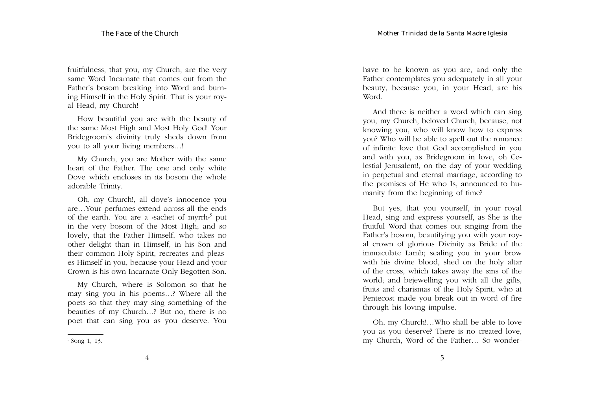fruitfulness, that you, my Church, are the very same Word Incarnate that comes out from the Father's bosom breaking into Word and burning Himself in the Holy Spirit. That is your royal Head, my Church!

How beautiful you are with the beauty of the same Most High and Most Holy God! Your Bridegroom's divinity truly sheds down from you to all your living members…!

My Church, you are Mother with the same heart of the Father. The one and only white Dove which encloses in its bosom the whole adorable Trinity.

Oh, my Church!, all dove's innocence you are…Your perfumes extend across all the ends of the earth. You are a «sachet of myrrh»<sup>5</sup> put in the very bosom of the Most High; and so lovely, that the Father Himself, who takes no other delight than in Himself, in his Son and their common Holy Spirit, recreates and pleases Himself in you, because your Head and your Crown is his own Incarnate Only Begotten Son.

My Church, where is Solomon so that he may sing you in his poems…? Where all the poets so that they may sing something of the beauties of my Church…? But no, there is no poet that can sing you as you deserve. You have to be known as you are, and only the Father contemplates you adequately in all your beauty, because you, in your Head, are his Word.

And there is neither a word which can sing you, my Church, beloved Church, because, not knowing you, who will know how to express you? Who will be able to spell out the romance of infinite love that God accomplished in you and with you, as Bridegroom in love, oh Celestial Jerusalem!, on the day of your wedding in perpetual and eternal marriage, according to the promises of He who Is, announced to humanity from the beginning of time?

But yes, that you yourself, in your royal Head, sing and express yourself, as She is the fruitful Word that comes out singing from the Father's bosom, beautifying you with your royal crown of glorious Divinity as Bride of the immaculate Lamb; sealing you in your brow with his divine blood, shed on the holy altar of the cross, which takes away the sins of the world; and bejewelling you with all the gifts, fruits and charismas of the Holy Spirit, who at Pentecost made you break out in word of fire through his loving impulse.

<sup>5</sup> Song 1, 13.

Oh, my Church!…Who shall be able to love you as you deserve? There is no created love, my Church, Word of the Father… So wonder-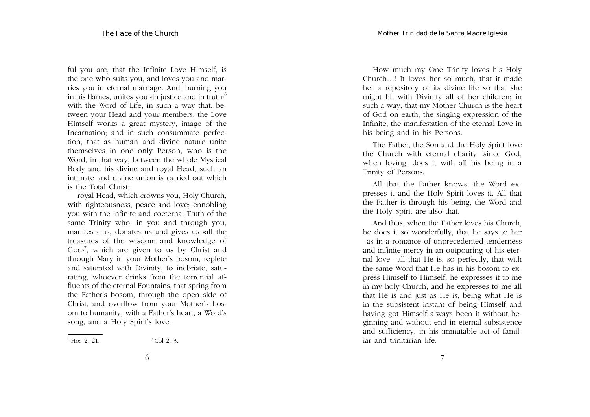ful you are, that the Infinite Love Himself, is the one who suits you, and loves you and marries you in eternal marriage. And, burning you in his flames, unites you «in justice and in truth»<sup>6</sup> with the Word of Life, in such a way that, between your Head and your members, the Love Himself works a great mystery, image of the Incarnation; and in such consummate perfection, that as human and divine nature unite themselves in one only Person, who is the Word, in that way, between the whole Mystical Body and his divine and royal Head, such an intimate and divine union is carried out which is the Total Christ;

royal Head, which crowns you, Holy Church, with righteousness, peace and love; ennobling you with the infinite and coeternal Truth of the same Trinity who, in you and through you, manifests us, donates us and gives us «all the treasures of the wisdom and knowledge of God»7, which are given to us by Christ and through Mary in your Mother's bosom, replete and saturated with Divinity; to inebriate, saturating, whoever drinks from the torrential affluents of the eternal Fountains, that spring from the Father's bosom, through the open side of Christ, and overflow from your Mother's bosom to humanity, with a Father's heart, a Word's song, and a Holy Spirit's love.

How much my One Trinity loves his Holy Church…! It loves her so much, that it made her a repository of its divine life so that she might fill with Divinity all of her children; in such a way, that my Mother Church is the heart of God on earth, the singing expression of the Infinite, the manifestation of the eternal Love in his being and in his Persons.

The Father, the Son and the Holy Spirit love the Church with eternal charity, since God, when loving, does it with all his being in a Trinity of Persons.

All that the Father knows, the Word expresses it and the Holy Spirit loves it. All that the Father is through his being, the Word and the Holy Spirit are also that.

And thus, when the Father loves his Church, he does it so wonderfully, that he says to her –as in a romance of unprecedented tenderness and infinite mercy in an outpouring of his eternal love– all that He is, so perfectly, that with the same Word that He has in his bosom to express Himself to Himself, he expresses it to me in my holy Church, and he expresses to me all that He is and just as He is, being what He is in the subsistent instant of being Himself and having got Himself always been it without beginning and without end in eternal subsistence and sufficiency, in his immutable act of familiar and trinitarian life.

 ${}^{6}$  Hos 2, 21.  ${}^{7}$  Col 2, 3.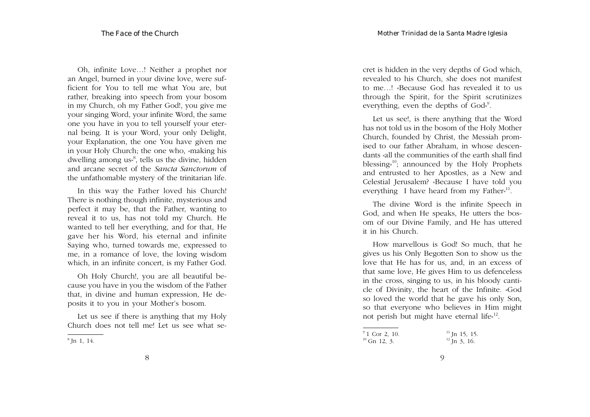Oh, infinite Love…! Neither a prophet nor an Angel, burned in your divine love, were sufficient for You to tell me what You are, but rather, breaking into speech from your bosom in my Church, oh my Father God!, you give me your singing Word, your infinite Word, the same one you have in you to tell yourself your eternal being. It is your Word, your only Delight, your Explanation, the one You have given me in your Holy Church; the one who, «making his dwelling among us<sup> $\delta$ </sup>, tells us the divine, hidden and arcane secret of the *Sancta Sanctorum* of the unfathomable mystery of the trinitarian life.

In this way the Father loved his Church! There is nothing though infinite, mysterious and perfect it may be, that the Father, wanting to reveal it to us, has not told my Church. He wanted to tell her everything, and for that, He gave her his Word, his eternal and infinite Saying who, turned towards me, expressed to me, in a romance of love, the loving wisdom which, in an infinite concert, is my Father God.

Oh Holy Church!, you are all beautiful because you have in you the wisdom of the Father that, in divine and human expression, He deposits it to you in your Mother's bosom.

Let us see if there is anything that my Holy Church does not tell me! Let us see what secret is hidden in the very depths of God which, revealed to his Church, she does not manifest to me…! «Because God has revealed it to us through the Spirit, for the Spirit scrutinizes everything, even the depths of God»<sup>9</sup>.

Let us see!, is there anything that the Word has not told us in the bosom of the Holy Mother Church, founded by Christ, the Messiah promised to our father Abraham, in whose descendants «all the communities of the earth shall find blessing $x^{10}$ ; announced by the Holy Prophets and entrusted to her Apostles, as a New and Celestial Jerusalem? «Because I have told you everything I have heard from my Father<sup> $n^{11}$ </sup>.

The divine Word is the infinite Speech in God, and when He speaks, He utters the bosom of our Divine Family, and He has uttered it in his Church.

How marvellous is God! So much, that he gives us his Only Begotten Son to show us the love that He has for us, and, in an excess of that same love, He gives Him to us defenceless in the cross, singing to us, in his bloody canticle of Divinity, the heart of the Infinite. «God so loved the world that he gave his only Son, so that everyone who believes in Him might not perish but might have eternal life<sup>[12]</sup>.

 $^8$  Jn 1, 14.

 $^{9}$ 1 Cor 2, 10. <sup>11</sup> Jn 15, 15.<br><sup>10</sup> Gn 12, 3. <sup>12</sup> Jn 3, 16.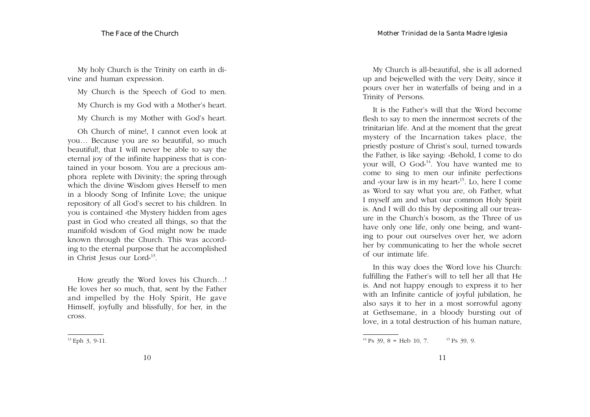My holy Church is the Trinity on earth in divine and human expression.

My Church is the Speech of God to men.

My Church is my God with a Mother's heart.

My Church is my Mother with God's heart.

Oh Church of mine!, I cannot even look at you… Because you are so beautiful, so much beautiful!, that I will never be able to say the eternal joy of the infinite happiness that is contained in your bosom. You are a precious amphora replete with Divinity; the spring through which the divine Wisdom gives Herself to men in a bloody Song of Infinite Love; the unique repository of all God's secret to his children. In you is contained «the Mystery hidden from ages past in God who created all things, so that the manifold wisdom of God might now be made known through the Church. This was according to the eternal purpose that he accomplished in Christ Jesus our Lord<sup> $13$ </sup>.

How greatly the Word loves his Church…! He loves her so much, that, sent by the Father and impelled by the Holy Spirit, He gave Himself, joyfully and blissfully, for her, in the cross.

My Church is all-beautiful, she is all adorned up and bejewelled with the very Deity, since it pours over her in waterfalls of being and in a Trinity of Persons.

It is the Father's will that the Word become flesh to say to men the innermost secrets of the trinitarian life. And at the moment that the great mystery of the Incarnation takes place, the priestly posture of Christ's soul, turned towards the Father, is like saying: «Behold, I come to do your will, O  $God<sub>p</sub><sup>14</sup>$ . You have wanted me to come to sing to men our infinite perfections and «your law is in my heart»15. Lo, here I come as Word to say what you are, oh Father, what I myself am and what our common Holy Spirit is. And I will do this by depositing all our treasure in the Church's bosom, as the Three of us have only one life, only one being, and wanting to pour out ourselves over her, we adorn her by communicating to her the whole secret of our intimate life.

In this way does the Word love his Church: fulfilling the Father's will to tell her all that He is. And not happy enough to express it to her with an Infinite canticle of joyful jubilation, he also says it to her in a most sorrowful agony at Gethsemane, in a bloody bursting out of love, in a total destruction of his human nature,

<sup>13</sup> Eph 3, 9-11.

<sup>&</sup>lt;sup>14</sup> Ps 39, 8 = Heb 10, 7. <sup>15</sup> Ps 39, 9.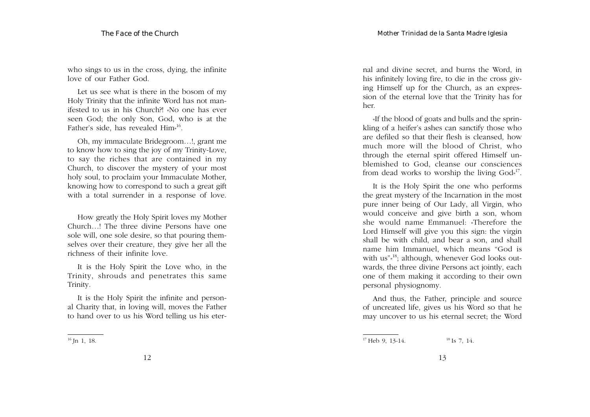who sings to us in the cross, dying, the infinite love of our Father God.

Let us see what is there in the bosom of my Holy Trinity that the infinite Word has not manifested to us in his Church?! «No one has ever seen God; the only Son, God, who is at the Father's side, has revealed Him»16.

Oh, my immaculate Bridegroom…!, grant me to know how to sing the joy of my Trinity-Love, to say the riches that are contained in my Church, to discover the mystery of your most holy soul, to proclaim your Immaculate Mother, knowing how to correspond to such a great gift with a total surrender in a response of love.

How greatly the Holy Spirit loves my Mother Church…! The three divine Persons have one sole will, one sole desire, so that pouring themselves over their creature, they give her all the richness of their infinite love.

It is the Holy Spirit the Love who, in the Trinity, shrouds and penetrates this same Trinity.

It is the Holy Spirit the infinite and personal Charity that, in loving will, moves the Father to hand over to us his Word telling us his eter-

nal and divine secret, and burns the Word, in his infinitely loving fire, to die in the cross giving Himself up for the Church, as an expression of the eternal love that the Trinity has for her.

«If the blood of goats and bulls and the sprinkling of a heifer's ashes can sanctify those who are defiled so that their flesh is cleansed, how much more will the blood of Christ, who through the eternal spirit offered Himself unblemished to God, cleanse our consciences from dead works to worship the living God»17.

It is the Holy Spirit the one who performs the great mystery of the Incarnation in the most pure inner being of Our Lady, all Virgin, who would conceive and give birth a son, whom she would name Emmanuel: «Therefore the Lord Himself will give you this sign: the virgin shall be with child, and bear a son, and shall name him Immanuel, which means "God is with us"<sup>3</sup>; although, whenever God looks outwards, the three divine Persons act jointly, each one of them making it according to their own personal physiognomy.

And thus, the Father, principle and source of uncreated life, gives us his Word so that he may uncover to us his eternal secret; the Word

<sup>&</sup>lt;sup>16</sup> Jn 1, 18.

<sup>&</sup>lt;sup>18</sup> Is 7, 14.<br>
<sup>18</sup> Is 7, 14.<br>
<sup>18</sup> Is 7, 14.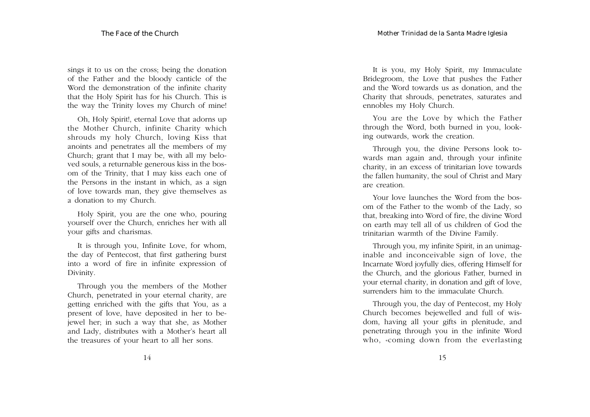sings it to us on the cross; being the donation of the Father and the bloody canticle of the Word the demonstration of the infinite charity that the Holy Spirit has for his Church. This is the way the Trinity loves my Church of mine!

Oh, Holy Spirit!, eternal Love that adorns up the Mother Church, infinite Charity which shrouds my holy Church, loving Kiss that anoints and penetrates all the members of my Church; grant that I may be, with all my beloved souls, a returnable generous kiss in the bosom of the Trinity, that I may kiss each one of the Persons in the instant in which, as a sign of love towards man, they give themselves as a donation to my Church.

Holy Spirit, you are the one who, pouring yourself over the Church, enriches her with all your gifts and charismas.

It is through you, Infinite Love, for whom, the day of Pentecost, that first gathering burst into a word of fire in infinite expression of Divinity.

Through you the members of the Mother Church, penetrated in your eternal charity, are getting enriched with the gifts that You, as a present of love, have deposited in her to bejewel her; in such a way that she, as Mother and Lady, distributes with a Mother's heart all the treasures of your heart to all her sons.

It is you, my Holy Spirit, my Immaculate Bridegroom, the Love that pushes the Father and the Word towards us as donation, and the Charity that shrouds, penetrates, saturates and ennobles my Holy Church.

You are the Love by which the Father through the Word, both burned in you, looking outwards, work the creation.

Through you, the divine Persons look towards man again and, through your infinite charity, in an excess of trinitarian love towards the fallen humanity, the soul of Christ and Mary are creation.

Your love launches the Word from the bosom of the Father to the womb of the Lady, so that, breaking into Word of fire, the divine Word on earth may tell all of us children of God the trinitarian warmth of the Divine Family.

Through you, my infinite Spirit, in an unimaginable and inconceivable sign of love, the Incarnate Word joyfully dies, offering Himself for the Church, and the glorious Father, burned in your eternal charity, in donation and gift of love, surrenders him to the immaculate Church.

Through you, the day of Pentecost, my Holy Church becomes bejewelled and full of wisdom, having all your gifts in plenitude, and penetrating through you in the infinite Word who, «coming down from the everlasting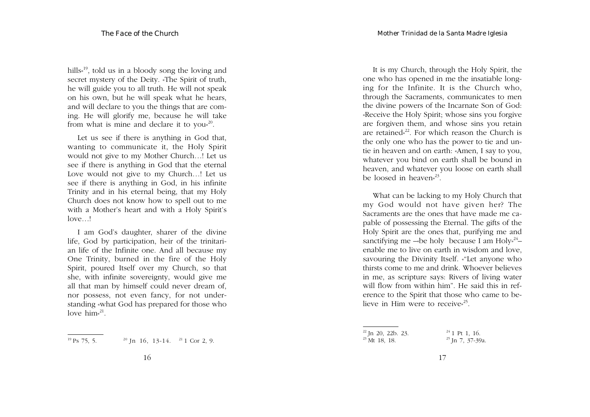hills<sup>, 19</sup>, told us in a bloody song the loving and secret mystery of the Deity. «The Spirit of truth, he will guide you to all truth. He will not speak on his own, but he will speak what he hears, and will declare to you the things that are coming. He will glorify me, because he will take from what is mine and declare it to you<sup>20</sup>.

Let us see if there is anything in God that, wanting to communicate it, the Holy Spirit would not give to my Mother Church…! Let us see if there is anything in God that the eternal Love would not give to my Church…! Let us see if there is anything in God, in his infinite Trinity and in his eternal being, that my Holy Church does not know how to spell out to me with a Mother's heart and with a Holy Spirit's love…!

I am God's daughter, sharer of the divine life, God by participation, heir of the trinitarian life of the Infinite one. And all because my One Trinity, burned in the fire of the Holy Spirit, poured Itself over my Church, so that she, with infinite sovereignty, would give me all that man by himself could never dream of, nor possess, not even fancy, for not understanding «what God has prepared for those who love him $^{21}$ .

<sup>19</sup> Ps 75, 5. <sup>20</sup> Jn 16, 13-14. <sup>21</sup> 1 Cor 2, 9.

It is my Church, through the Holy Spirit, the one who has opened in me the insatiable longing for the Infinite. It is the Church who, through the Sacraments, communicates to men the divine powers of the Incarnate Son of God: «Receive the Holy Spirit; whose sins you forgive are forgiven them, and whose sins you retain are retained»<sup>22</sup>. For which reason the Church is the only one who has the power to tie and untie in heaven and on earth: «Amen, I say to you, whatever you bind on earth shall be bound in heaven, and whatever you loose on earth shall be loosed in heaven<sup> $23$ </sup>.

What can be lacking to my Holy Church that my God would not have given her? The Sacraments are the ones that have made me capable of possessing the Eternal. The gifts of the Holy Spirit are the ones that, purifying me and sanctifying me —«be holy because I am Holy» $^{24}$  enable me to live on earth in wisdom and love, savouring the Divinity Itself. «"Let anyone who thirsts come to me and drink. Whoever believes in me, as scripture says: Rivers of living water will flow from within him". He said this in reference to the Spirit that those who came to believe in Him were to receive $^{25}$ .

 $22$  Jn 20, 22b. 23.  $^{23}$  Mt 18, 18.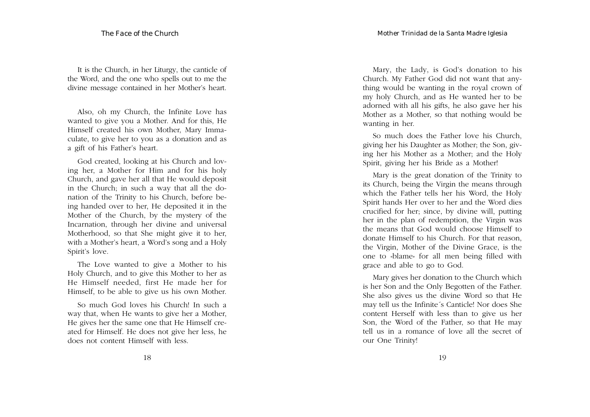It is the Church, in her Liturgy, the canticle of the Word, and the one who spells out to me the divine message contained in her Mother's heart.

Also, oh my Church, the Infinite Love has wanted to give you a Mother. And for this, He Himself created his own Mother, Mary Immaculate, to give her to you as a donation and as a gift of his Father's heart.

God created, looking at his Church and loving her, a Mother for Him and for his holy Church, and gave her all that He would deposit in the Church; in such a way that all the donation of the Trinity to his Church, before being handed over to her, He deposited it in the Mother of the Church, by the mystery of the Incarnation, through her divine and universal Motherhood, so that She might give it to her, with a Mother's heart, a Word's song and a Holy Spirit's love.

The Love wanted to give a Mother to his Holy Church, and to give this Mother to her as He Himself needed, first He made her for Himself, to be able to give us his own Mother.

So much God loves his Church! In such a way that, when He wants to give her a Mother, He gives her the same one that He Himself created for Himself. He does not give her less, he does not content Himself with less.

Mary, the Lady, is God's donation to his Church. My Father God did not want that anything would be wanting in the royal crown of my holy Church, and as He wanted her to be adorned with all his gifts, he also gave her his Mother as a Mother, so that nothing would be wanting in her.

So much does the Father love his Church, giving her his Daughter as Mother; the Son, giving her his Mother as a Mother; and the Holy Spirit, giving her his Bride as a Mother!

Mary is the great donation of the Trinity to its Church, being the Virgin the means through which the Father tells her his Word, the Holy Spirit hands Her over to her and the Word dies crucified for her; since, by divine will, putting her in the plan of redemption, the Virgin was the means that God would choose Himself to donate Himself to his Church. For that reason, the Virgin, Mother of the Divine Grace, is the one to «blame» for all men being filled with grace and able to go to God.

Mary gives her donation to the Church which is her Son and the Only Begotten of the Father. She also gives us the divine Word so that He may tell us the Infinite´s Canticle! Nor does She content Herself with less than to give us her Son, the Word of the Father, so that He may tell us in a romance of love all the secret of our One Trinity!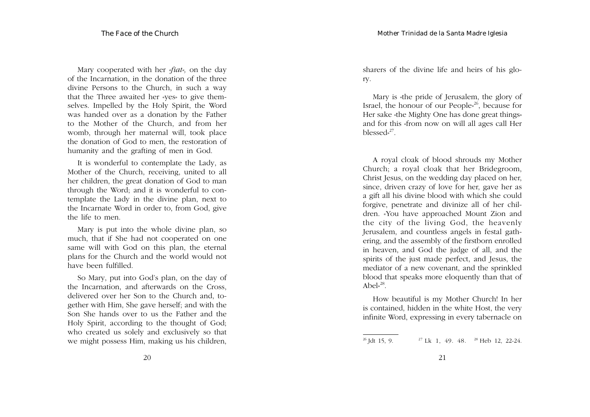Mary cooperated with her *«fiat»,* on the day of the Incarnation, in the donation of the three divine Persons to the Church, in such a way that the Three awaited her «yes» to give themselves. Impelled by the Holy Spirit, the Word was handed over as a donation by the Father to the Mother of the Church, and from her womb, through her maternal will, took place the donation of God to men, the restoration of humanity and the grafting of men in God.

It is wonderful to contemplate the Lady, as Mother of the Church, receiving, united to all her children, the great donation of God to man through the Word; and it is wonderful to contemplate the Lady in the divine plan, next to the Incarnate Word in order to, from God, give the life to men.

Mary is put into the whole divine plan, so much, that if She had not cooperated on one same will with God on this plan, the eternal plans for the Church and the world would not have been fulfilled.

So Mary, put into God's plan, on the day of the Incarnation, and afterwards on the Cross, delivered over her Son to the Church and, together with Him, She gave herself; and with the Son She hands over to us the Father and the Holy Spirit, according to the thought of God; who created us solely and exclusively so that we might possess Him, making us his children, sharers of the divine life and heirs of his glory.

Mary is «the pride of Jerusalem, the glory of Israel, the honour of our People<sup> $26$ </sup>, because for Her sake «the Mighty One has done great things» and for this «from now on will all ages call Her blessed» $^{27}$ .

A royal cloak of blood shrouds my Mother Church; a royal cloak that her Bridegroom, Christ Jesus, on the wedding day placed on her, since, driven crazy of love for her, gave her as a gift all his divine blood with which she could forgive, penetrate and divinize all of her children. «You have approached Mount Zion and the city of the living God, the heavenly Jerusalem, and countless angels in festal gathering, and the assembly of the firstborn enrolled in heaven, and God the judge of all, and the spirits of the just made perfect, and Jesus, the mediator of a new covenant, and the sprinkled blood that speaks more eloquently than that of Abel» $^{28}$ .

How beautiful is my Mother Church! In her is contained, hidden in the white Host, the very infinite Word, expressing in every tabernacle on

<sup>&</sup>lt;sup>26</sup> Jdt 15, 9. <sup>27</sup> Lk 1, 49. 48. <sup>28</sup> Heb 12, 22-24.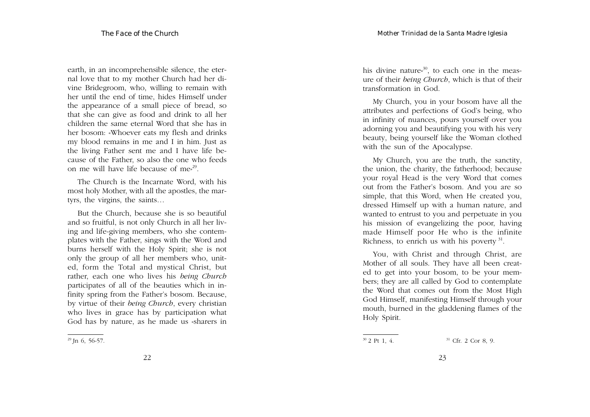earth, in an incomprehensible silence, the eternal love that to my mother Church had her divine Bridegroom, who, willing to remain with her until the end of time, hides Himself under the appearance of a small piece of bread, so that she can give as food and drink to all her children the same eternal Word that she has in her bosom: «Whoever eats my flesh and drinks my blood remains in me and I in him. Just as the living Father sent me and I have life because of the Father, so also the one who feeds on me will have life because of me»29.

The Church is the Incarnate Word, with his most holy Mother, with all the apostles, the martyrs, the virgins, the saints…

But the Church, because she is so beautiful and so fruitful, is not only Church in all her living and life-giving members, who she contemplates with the Father, sings with the Word and burns herself with the Holy Spirit; she is not only the group of all her members who, united, form the Total and mystical Christ, but rather, each one who lives his *being Church* participates of all of the beauties which in infinity spring from the Father's bosom. Because, by virtue of their *being Church*, every christian who lives in grace has by participation what God has by nature, as he made us «sharers in his divine nature<sup>30</sup>, to each one in the measure of their *being Church*, which is that of their transformation in God.

My Church, you in your bosom have all the attributes and perfections of God's being, who in infinity of nuances, pours yourself over you adorning you and beautifying you with his very beauty, being yourself like the Woman clothed with the sun of the Apocalypse.

My Church, you are the truth, the sanctity, the union, the charity, the fatherhood; because your royal Head is the very Word that comes out from the Father's bosom. And you are so simple, that this Word, when He created you, dressed Himself up with a human nature, and wanted to entrust to you and perpetuate in you his mission of evangelizing the poor, having made Himself poor He who is the infinite Richness, to enrich us with his poverty  $31$ .

You, with Christ and through Christ, are Mother of all souls. They have all been created to get into your bosom, to be your members; they are all called by God to contemplate the Word that comes out from the Most High God Himself, manifesting Himself through your mouth, burned in the gladdening flames of the Holy Spirit.

 $29$  Jn 6, 56-57.

 $30$  2 Pt 1, 4.  $31$  Cfr. 2 Cor 8, 9.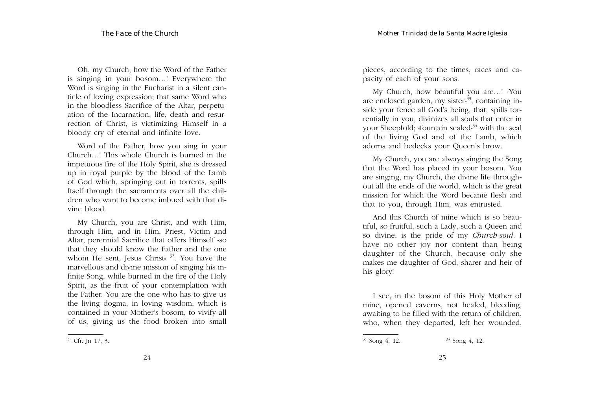Oh, my Church, how the Word of the Father is singing in your bosom…! Everywhere the Word is singing in the Eucharist in a silent canticle of loving expression; that same Word who in the bloodless Sacrifice of the Altar, perpetuation of the Incarnation, life, death and resurrection of Christ, is victimizing Himself in a bloody cry of eternal and infinite love.

Word of the Father, how you sing in your Church…! This whole Church is burned in the impetuous fire of the Holy Spirit, she is dressed up in royal purple by the blood of the Lamb of God which, springing out in torrents, spills Itself through the sacraments over all the children who want to become imbued with that divine blood.

My Church, you are Christ, and with Him, through Him, and in Him, Priest, Victim and Altar; perennial Sacrifice that offers Himself «so that they should know the Father and the one whom He sent, Jesus Christ<sup>» 32</sup>. You have the marvellous and divine mission of singing his infinite Song, while burned in the fire of the Holy Spirit, as the fruit of your contemplation with the Father. You are the one who has to give us the living dogma, in loving wisdom, which is contained in your Mother's bosom, to vivify all of us, giving us the food broken into small

24

pieces, according to the times, races and capacity of each of your sons.

My Church, how beautiful you are…! «You are enclosed garden, my sister $s<sup>33</sup>$ , containing inside your fence all God's being, that, spills torrentially in you, divinizes all souls that enter in your Sheepfold; «fountain sealed»<sup>34</sup> with the seal of the living God and of the Lamb, which adorns and bedecks your Queen's brow.

My Church, you are always singing the Song that the Word has placed in your bosom. You are singing, my Church, the divine life throughout all the ends of the world, which is the great mission for which the Word became flesh and that to you, through Him, was entrusted.

And this Church of mine which is so beautiful, so fruitful, such a Lady, such a Queen and so divine, is the pride of my *Church-soul*. I have no other joy nor content than being daughter of the Church, because only she makes me daughter of God, sharer and heir of his glory!

I see, in the bosom of this Holy Mother of mine, opened caverns, not healed, bleeding, awaiting to be filled with the return of children, who, when they departed, left her wounded,

 $32$  Cfr. Jn 17, 3.

 $33$  Song 4, 12.  $34$  Song 4, 12.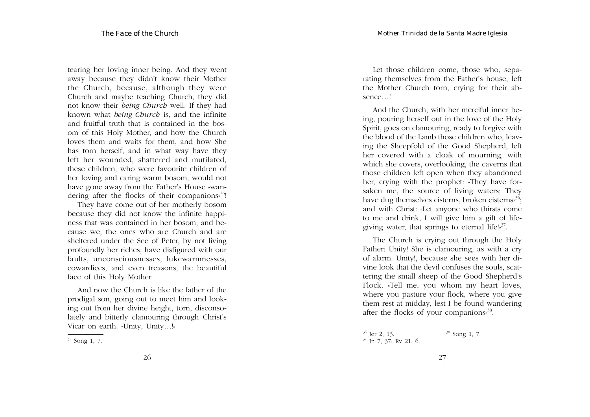tearing her loving inner being. And they went away because they didn't know their Mother the Church, because, although they were Church and maybe teaching Church, they did not know their *being Church* well. If they had known what *being Church* is, and the infinite and fruitful truth that is contained in the bosom of this Holy Mother, and how the Church loves them and waits for them, and how She has torn herself, and in what way have they left her wounded, shattered and mutilated, these children, who were favourite children of her loving and caring warm bosom, would not have gone away from the Father's House «wandering after the flocks of their companions<sup>35</sup>!

They have come out of her motherly bosom because they did not know the infinite happiness that was contained in her bosom, and because we, the ones who are Church and are sheltered under the See of Peter, by not living profoundly her riches, have disfigured with our faults, unconsciousnesses, lukewarmnesses, cowardices, and even treasons, the beautiful face of this Holy Mother.

And now the Church is like the father of the prodigal son, going out to meet him and looking out from her divine height, torn, disconsolately and bitterly clamouring through Christ's Vicar on earth: «Unity, Unity…!»

Let those children come, those who, separating themselves from the Father's house, left the Mother Church torn, crying for their absence…!

And the Church, with her merciful inner being, pouring herself out in the love of the Holy Spirit, goes on clamouring, ready to forgive with the blood of the Lamb those children who, leaving the Sheepfold of the Good Shepherd, left her covered with a cloak of mourning, with which she covers, overlooking, the caverns that those children left open when they abandoned her, crying with the prophet: «They have forsaken me, the source of living waters; They have dug themselves cisterns, broken cisterns<sup>36</sup>; and with Christ: «Let anyone who thirsts come to me and drink, I will give him a gift of lifegiving water, that springs to eternal life! $s^{37}$ .

The Church is crying out through the Holy Father: Unity! She is clamouring, as with a cry of alarm: Unity!, because she sees with her divine look that the devil confuses the souls, scattering the small sheep of the Good Shepherd's Flock. «Tell me, you whom my heart loves, where you pasture your flock, where you give them rest at midday, lest I be found wandering after the flocks of your companions»38.

<sup>35</sup> Song 1, 7.

<sup>&</sup>lt;sup>36</sup> Jer 2, 13. <sup>37</sup> Jn 7, 37; Rv 21, 6. <sup>38</sup> Song 1, 7.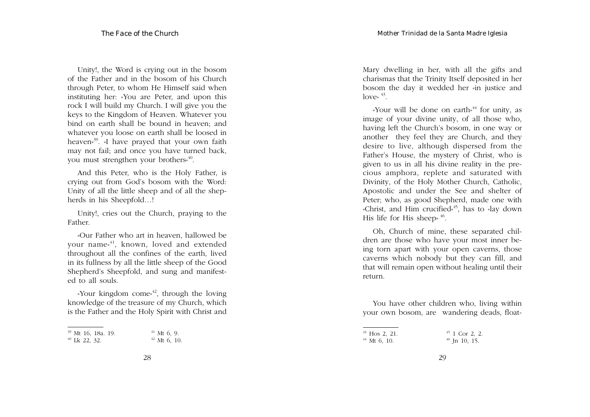Unity!, the Word is crying out in the bosom of the Father and in the bosom of his Church through Peter, to whom He Himself said when instituting her: «You are Peter, and upon this rock I will build my Church. I will give you the keys to the Kingdom of Heaven. Whatever you bind on earth shall be bound in heaven; and whatever you loose on earth shall be loosed in heaven<sup>39</sup>. «I have prayed that your own faith may not fail; and once you have turned back, you must strengthen your brothers<sup>40</sup>.

And this Peter, who is the Holy Father, is crying out from God's bosom with the Word: Unity of all the little sheep and of all the shepherds in his Sheepfold…!

Unity!, cries out the Church, praying to the Father.

«Our Father who art in heaven, hallowed be your name<sup>\$41</sup>, known, loved and extended throughout all the confines of the earth, lived in its fullness by all the little sheep of the Good Shepherd's Sheepfold, and sung and manifested to all souls.

«Your kingdom come»<sup>42</sup>, through the loving knowledge of the treasure of my Church, which is the Father and the Holy Spirit with Christ and

|  |                 | <sup>39</sup> Mt 16, 18a. 19. | $41$ Mt 6, 9.  |  |
|--|-----------------|-------------------------------|----------------|--|
|  | $40$ Lk 22, 32. |                               | $42$ Mt 6, 10. |  |

Mary dwelling in her, with all the gifts and charismas that the Trinity Itself deposited in her bosom the day it wedded her «in justice and  $\log^{43}$ .

«Your will be done on earth» $44$  for unity, as image of your divine unity, of all those who, having left the Church's bosom, in one way or another they feel they are Church, and they desire to live, although dispersed from the Father's House, the mystery of Christ, who is given to us in all his divine reality in the precious amphora, replete and saturated with Divinity, of the Holy Mother Church, Catholic, Apostolic and under the See and shelter of Peter; who, as good Shepherd, made one with «Christ, and Him crucified»<sup>45</sup>, has to «lay down His life for His sheep<sup> $\frac{46}{5}$ </sup>.

Oh, Church of mine, these separated children are those who have your most inner being torn apart with your open caverns, those caverns which nobody but they can fill, and that will remain open without healing until their return.

You have other children who, living within your own bosom, are wandering deads, float-

 $43$  Hos 2, 21.  $44$  Mt 6, 10.  $45$  1 Cor 2, 2.  $46$  Jn 10, 15.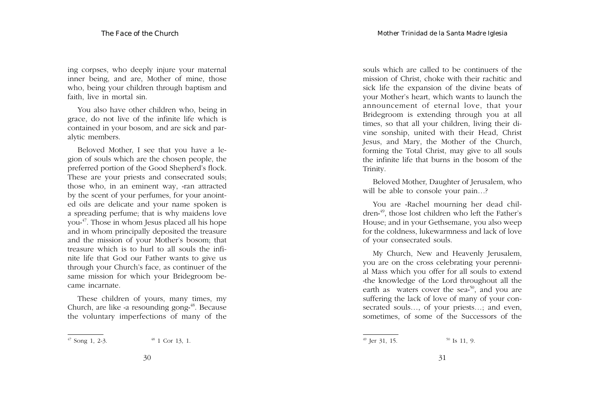ing corpses, who deeply injure your maternal inner being, and are, Mother of mine, those who, being your children through baptism and faith, live in mortal sin.

You also have other children who, being in grace, do not live of the infinite life which is contained in your bosom, and are sick and paralytic members.

Beloved Mother, I see that you have a legion of souls which are the chosen people, the preferred portion of the Good Shepherd's flock. These are your priests and consecrated souls; those who, in an eminent way, «ran attracted by the scent of your perfumes, for your anointed oils are delicate and your name spoken is a spreading perfume; that is why maidens love you»47. Those in whom Jesus placed all his hope and in whom principally deposited the treasure and the mission of your Mother's bosom; that treasure which is to hurl to all souls the infinite life that God our Father wants to give us through your Church's face, as continuer of the same mission for which your Bridegroom became incarnate.

These children of yours, many times, my Church, are like «a resounding gong»<sup>48</sup>. Because the voluntary imperfections of many of the

souls which are called to be continuers of the mission of Christ, choke with their rachitic and sick life the expansion of the divine beats of your Mother's heart, which wants to launch the announcement of eternal love, that your Bridegroom is extending through you at all times, so that all your children, living their divine sonship, united with their Head, Christ Jesus, and Mary, the Mother of the Church, forming the Total Christ, may give to all souls the infinite life that burns in the bosom of the Trinity.

Beloved Mother, Daughter of Jerusalem, who will be able to console your pain…?

You are «Rachel mourning her dead children»49, those lost children who left the Father's House; and in your Gethsemane, you also weep for the coldness, lukewarmness and lack of love of your consecrated souls.

My Church, New and Heavenly Jerusalem, you are on the cross celebrating your perennial Mass which you offer for all souls to extend «the knowledge of the Lord throughout all the earth as waters cover the sea<sup>50</sup>, and you are suffering the lack of love of many of your consecrated souls…, of your priests…; and even, sometimes, of some of the Successors of the

 $47$  Song 1, 2-3.  $48$  1 Cor 13, 1.

<sup>&</sup>lt;sup>49</sup> Jer 31, 15. <sup>50</sup> Is 11, 9.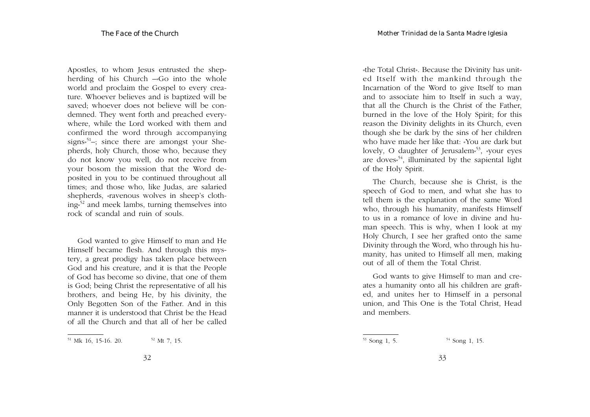Apostles, to whom Jesus entrusted the shepherding of his Church –«Go into the whole world and proclaim the Gospel to every creature. Whoever believes and is baptized will be saved; whoever does not believe will be condemned. They went forth and preached everywhere, while the Lord worked with them and confirmed the word through accompanying signs<sup> $51$ </sup>–; since there are amongst your Shepherds, holy Church, those who, because they do not know you well, do not receive from your bosom the mission that the Word deposited in you to be continued throughout all times; and those who, like Judas, are salaried shepherds, «ravenous wolves in sheep's clothing»<sup>52</sup> and meek lambs, turning themselves into rock of scandal and ruin of souls.

God wanted to give Himself to man and He Himself became flesh. And through this mystery, a great prodigy has taken place between God and his creature, and it is that the People of God has become so divine, that one of them is God; being Christ the representative of all his brothers, and being He, by his divinity, the Only Begotten Son of the Father. And in this manner it is understood that Christ be the Head of all the Church and that all of her be called

«the Total Christ». Because the Divinity has united Itself with the mankind through the Incarnation of the Word to give Itself to man and to associate him to Itself in such a way, that all the Church is the Christ of the Father, burned in the love of the Holy Spirit; for this reason the Divinity delights in its Church, even though she be dark by the sins of her children who have made her like that: «You are dark but lovely, O daughter of Jerusalem<sup>53</sup>, «your eyes are doves<sup> $54$ </sup>, illuminated by the sapiental light of the Holy Spirit.

The Church, because she is Christ, is the speech of God to men, and what she has to tell them is the explanation of the same Word who, through his humanity, manifests Himself to us in a romance of love in divine and human speech. This is why, when I look at my Holy Church, I see her grafted onto the same Divinity through the Word, who through his humanity, has united to Himself all men, making out of all of them the Total Christ.

God wants to give Himself to man and creates a humanity onto all his children are grafted, and unites her to Himself in a personal union, and This One is the Total Christ, Head and members.

 $51$  Mk 16, 15-16. 20.  $52$  Mt 7, 15.

 $53$  Song 1, 5.  $54$  Song 1, 15.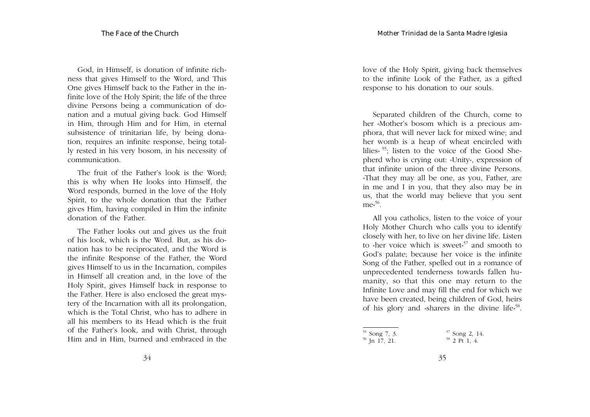God, in Himself, is donation of infinite richness that gives Himself to the Word, and This One gives Himself back to the Father in the infinite love of the Holy Spirit; the life of the three divine Persons being a communication of donation and a mutual giving back. God Himself in Him, through Him and for Him, in eternal subsistence of trinitarian life, by being donation, requires an infinite response, being totally rested in his very bosom, in his necessity of communication.

The fruit of the Father's look is the Word; this is why when He looks into Himself, the Word responds, burned in the love of the Holy Spirit, to the whole donation that the Father gives Him, having compiled in Him the infinite donation of the Father.

The Father looks out and gives us the fruit of his look, which is the Word. But, as his donation has to be reciprocated, and the Word is the infinite Response of the Father, the Word gives Himself to us in the Incarnation, compiles in Himself all creation and, in the love of the Holy Spirit, gives Himself back in response to the Father. Here is also enclosed the great mystery of the Incarnation with all its prolongation, which is the Total Christ, who has to adhere in all his members to its Head which is the fruit of the Father's look, and with Christ, through Him and in Him, burned and embraced in the love of the Holy Spirit, giving back themselves to the infinite Look of the Father, as a gifted response to his donation to our souls.

Separated children of the Church, come to her «Mother's bosom which is a precious amphora, that will never lack for mixed wine; and her womb is a heap of wheat encircled with lilies» 55; listen to the voice of the Good Shepherd who is crying out: «Unity», expression of that infinite union of the three divine Persons. «That they may all be one, as you, Father, are in me and I in you, that they also may be in us, that the world may believe that you sent  $me^{56}$ .

All you catholics, listen to the voice of your Holy Mother Church who calls you to identify closely with her, to live on her divine life. Listen to «her voice which is sweet»<sup>57</sup> and smooth to God's palate; because her voice is the infinite Song of the Father, spelled out in a romance of unprecedented tenderness towards fallen humanity, so that this one may return to the Infinite Love and may fill the end for which we have been created, being children of God, heirs of his glory and «sharers in the divine life»<sup>58</sup>.

<sup>55</sup> Song 7, 3.  $56$  Jn 17, 21. <sup>57</sup> Song 2, 14.  $58$  2 Pt 1, 4.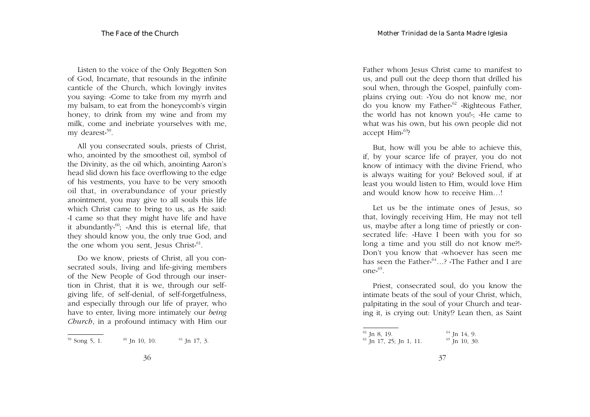Listen to the voice of the Only Begotten Son of God, Incarnate, that resounds in the infinite canticle of the Church, which lovingly invites you saying: «Come to take from my myrrh and my balsam, to eat from the honeycomb's virgin honey, to drink from my wine and from my milk, come and inebriate yourselves with me, my dearest»<sup>59</sup>.

All you consecrated souls, priests of Christ, who, anointed by the smoothest oil, symbol of the Divinity, as the oil which, anointing Aaron's head slid down his face overflowing to the edge of his vestments, you have to be very smooth oil that, in overabundance of your priestly anointment, you may give to all souls this life which Christ came to bring to us, as He said: «I came so that they might have life and have it abundantly<sup> $60$ </sup>; «And this is eternal life, that they should know you, the only true God, and the one whom you sent, Jesus Christ<sup> $61$ </sup>.

Do we know, priests of Christ, all you consecrated souls, living and life-giving members of the New People of God through our insertion in Christ, that it is we, through our selfgiving life, of self-denial, of self-forgetfulness, and especially through our life of prayer, who have to enter, living more intimately our *being Church*, in a profound intimacy with Him our

Father whom Jesus Christ came to manifest to us, and pull out the deep thorn that drilled his soul when, through the Gospel, painfully complains crying out: «You do not know me, nor do you know my Father<sup>,62</sup> «Righteous Father, the world has not known you!»; «He came to what was his own, but his own people did not accept Him<sup>%3</sup>?

But, how will you be able to achieve this, if, by your scarce life of prayer, you do not know of intimacy with the divine Friend, who is always waiting for you? Beloved soul, if at least you would listen to Him, would love Him and would know how to receive Him…!

Let us be the intimate ones of Jesus, so that, lovingly receiving Him, He may not tell us, maybe after a long time of priestly or consecrated life: «Have I been with you for so long a time and you still do not know me?!» Don't you know that «whoever has seen me has seen the Father<sup> $64$ </sup>...? «The Father and I are one $n^{65}$ .

Priest, consecrated soul, do you know the intimate beats of the soul of your Christ, which, palpitating in the soul of your Church and tearing it, is crying out: Unity!? Lean then, as Saint

 $59$  Song 5, 1.  $60$  Jn 10, 10.  $61$  Jn 17, 3.

 $62$  Jn 8, 19.  $^{63}$  Jn 17, 25; Jn 1, 11.  $64$  Jn 14, 9.  $65$  J<sub>n</sub> 10, 30.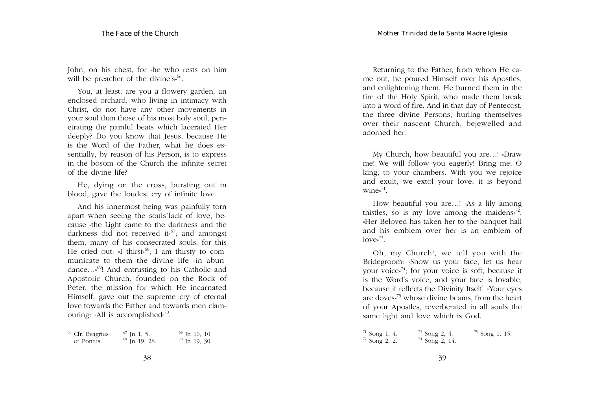John, on his chest, for «he who rests on him will be preacher of the divine's<sup>%6</sup>.

You, at least, are you a flowery garden, an enclosed orchard, who living in intimacy with Christ, do not have any other movements in your soul than those of his most holy soul, penetrating the painful beats which lacerated Her deeply? Do you know that Jesus, because He is the Word of the Father, what he does essentially, by reason of his Person, is to express in the bosom of the Church the infinite secret of the divine life?

He, dying on the cross, bursting out in blood, gave the loudest cry of infinite love.

And his innermost being was painfully torn apart when seeing the souls´lack of love, because «the Light came to the darkness and the darkness did not received it.<sup>67</sup>; and amongst them, many of his consecrated souls, for this He cried out: «I thirst»<sup>68</sup>; I am thirsty to communicate to them the divine life «in abundance…»69! And entrusting to his Catholic and Apostolic Church, founded on the Rock of Peter, the mission for which He incarnated Himself, gave out the supreme cry of eternal love towards the Father and towards men clamouring: «All is accomplished»70.

| <sup>66</sup> Cfr. Evagrius | $67$ Jn 1, 5.            | $69$ Jn 10, 10. |
|-----------------------------|--------------------------|-----------------|
| of Pontus.                  | <sup>68</sup> Jn 19, 28. | $70$ Jn 19, 30. |

Returning to the Father, from whom He came out, he poured Himself over his Apostles, and enlightening them, He burned them in the fire of the Holy Spirit, who made them break into a word of fire. And in that day of Pentecost, the three divine Persons, hurling themselves over their nascent Church, bejewelled and adorned her.

My Church, how beautiful you are…! «Draw me! We will follow you eagerly! Bring me, O king, to your chambers. With you we rejoice and exult, we extol your love; it is beyond wine $v^{71}$ .

How beautiful you are…! «As a lily among thistles, so is my love among the maidens $v^{72}$ . «Her Beloved has taken her to the banquet hall and his emblem over her is an emblem of  $love^{73}$ .

Oh, my Church!, we tell you with the Bridegroom: «Show us your face, let us hear your voice<sup> $74$ </sup>; for your voice is soft, because it is the Word's voice, and your face is lovable, because it reflects the Divinity Itself. «Your eyes are doves»<sup>75</sup> whose divine beams, from the heart of your Apostles, reverberated in all souls the same light and love which is God.

 $71$  Song 1, 4.  $72$  Song 2, 2. <sup>73</sup> Song 2, 4.  $74$  Song 2, 14. <sup>75</sup> Song 1, 15.